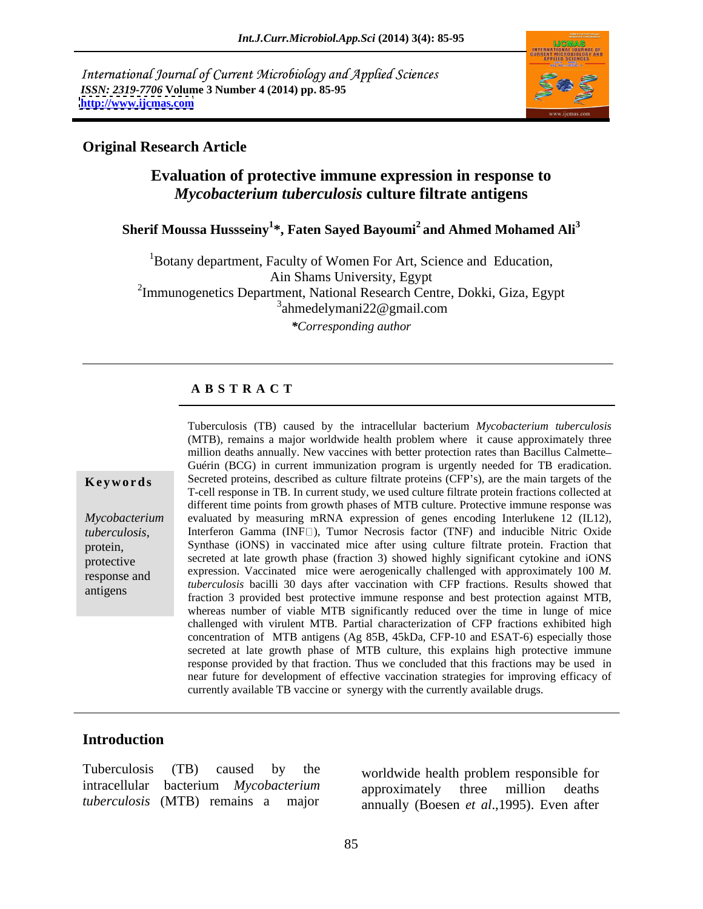International Journal of Current Microbiology and Applied Sciences *ISSN: 2319-7706* **Volume 3 Number 4 (2014) pp. 85-95 <http://www.ijcmas.com>**



### **Original Research Article**

## **Evaluation of protective immune expression in response to** *Mycobacterium tuberculosis* **culture filtrate antigens**

## **Sherif Moussa Hussseiny<sup>1</sup> \*, Faten Sayed Bayoumi<sup>2</sup> and Ahmed Mohamed Ali<sup>3</sup>**

 $1B$ otany department, Faculty of Women For Art, Science and Education, Ain Shams University, Egypt <sup>2</sup>Immunogenetics Department, National Research Centre, Dokki, Giza, Egypt  $3$ ahmedelymani22@gmail.com ahmedelymani22@gmail.com *\*Corresponding author*

### **A B S T R A C T**

**Keywords** Secreted proteins, described as culture filtrate proteins (CFP's), are the main targets of the *Mycobacterium*  evaluated by measuring mRNA expression of genes encoding Interlukene 12 (IL12), *tuberculosis*, Interferon Gamma (INF<sup>[1]</sup>), Tumor Necrosis factor (TNF) and inducible Nitric Oxide Synthase (iONS) in vaccinated mice after using culture filtrate protein. Fraction that protective secreted at late growth phase (fraction 3) showed highly significant cytokine and iONS response and expression. Vaccinated mice were aerogenically challenged with approximately 100 *M.*  examples antigens<br>fraction 3 provided best protective immune response and best protection against MTB, Tuberculosis (TB) caused by the intracellular bacterium *Mycobacterium tuberculosis* (MTB), remains a major worldwide health problem where it cause approximately three million deaths annually. New vaccines with better protection rates than Bacillus Calmette Guérin (BCG) in current immunization program is urgently needed for TB eradication. T-cell response in TB. In current study, we used culture filtrate protein fractions collected at different time points from growth phases of MTB culture. Protective immune response was Interferon Gamma  $(INF \Box)$ , Tumor Necrosis factor (TNF) and inducible Nitric Oxide *tuberculosis* bacilli 30 days after vaccination with CFP fractions. Results showed that whereas number of viable MTB significantly reduced over the time in lunge of mice challenged with virulent MTB. Partial characterization of CFP fractions exhibited high concentration of MTB antigens (Ag 85B, 45kDa, CFP-10 and ESAT-6) especially those secreted at late growth phase of MTB culture, this explains high protective immune response provided by that fraction. Thus we concluded that this fractions may be used in near future for development of effective vaccination strategies for improving efficacy of currently available TB vaccine or synergy with the currently available drugs.

### **Introduction**

Tuberculosis (TB) caused by the worldwide health problem responsible for *tuberculosis* (MTB) remains a major

intracellular bacterium *Mycobacterium*  worldwide health problem responsible for approximately three million deaths annually (Boesen *et al*.,1995). Even after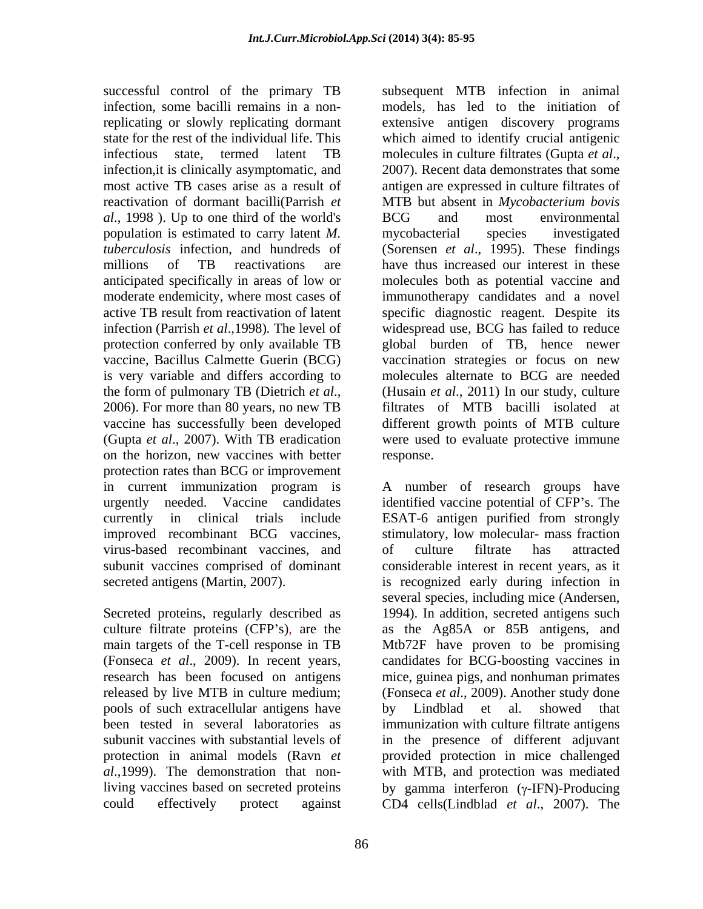successful control of the primary TB infection, some bacilli remains in a noninfectious state, termed latent TB molecules in culture filtrates (Gupta et al., infection, it is clinically asymptomatic, and 2007). Recent data demonstrates that some *al*., 1998 ). Up to one third of the world's population is estimated to carry latent *M.*  moderate endemicity, where most cases of (Gupta *et al*., 2007). With TB eradication on the horizon, new vaccines with better protection rates than BCG or improvement currently in clinical trials include ESAT-6 antigen purified from strongly improved recombinant BCG vaccines, virus-based recombinant vaccines, and subunit vaccines comprised of dominant

pools of such extracellular antigens have protection in animal models (Ravn *et*  could effectively protect against CD4 cells(Lindblad *et al*., 2007). The

replicating or slowly replicating dormant extensive antigen discovery programs state for the rest of the individual life. This which aimed to identify crucial antigenic most active TB cases arise as a result of antigen are expressed in culture filtrates of reactivation of dormant bacilli(Parrish *et*  MTB but absent in *Mycobacterium bovis tuberculosis* infection, and hundreds of (Sorensen *et al*., 1995). These findings millions of TB reactivations are have thus increased our interest in these anticipated specifically in areas of low or molecules both as potential vaccine and active TB result from reactivation of latent specific diagnostic reagent. Despite its infection (Parrish *et al*.,1998)*.* The level of widespread use, BCG has failed to reduce protection conferred by only available TB global burden of TB, hence newer vaccine, Bacillus Calmette Guerin (BCG) vaccination strategies or focus on new is very variable and differs according to molecules alternate to BCG are needed the form of pulmonary TB (Dietrich *et al.*, (Husain *et al.*, 2011) In our study, culture 2006). For more than 80 years, no new TB filtrates of MTB bacilli isolated at vaccine has successfully been developed different growth points of MTB culture subsequent MTB infection in animal models, has led to the initiation of molecules in culture filtrates (Gupta *et al*., 2007). Recent data demonstrates that some BCG and most environmental mycobacterial species investigated immunotherapy candidates and a novel (Husain *et al*., 2011) In our study, culture filtrates of MTB bacilli isolated at were used to evaluate protective immune response.

in current immunization program is A number of research groups have urgently needed. Vaccine candidates identified vaccine potential of CFP s. The secreted antigens (Martin, 2007). is recognized early during infection in Secreted proteins, regularly described as 1994). In addition, secreted antigens such culture filtrate proteins (CFP s), are the as the Ag85A or 85B antigens, and main targets of the T-cell response in TB Mtb72F have proven to be promising (Fonseca *et al*., 2009). In recent years, candidates for BCG-boosting vaccines in research has been focused on antigens mice, guinea pigs, and nonhuman primates released by live MTB in culture medium; (Fonseca *et al*., 2009). Another study done been tested in several laboratories as immunization with culture filtrate antigens subunit vaccines with substantial levels of in the presence of different adjuvant *al*.,1999). The demonstration that non-with MTB, and protection was mediated living vaccines based on secreted proteins by gamma interferon (γ-IFN)-Producing ESAT-6 antigen purified from strongly stimulatory, low molecular- mass fraction of culture filtrate has attracted considerable interest in recent years, as it several species, including mice (Andersen, by Lindblad et al. showed that provided protection in mice challenged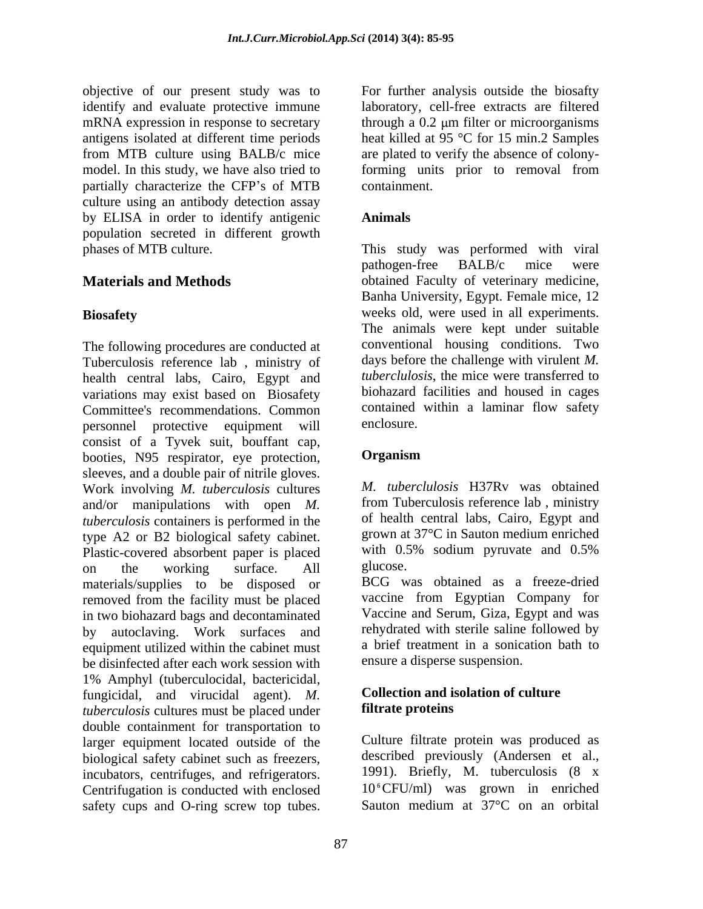objective of our present study was to identify and evaluate protective immune laboratory, cell-free extracts are filtered mRNA expression in response to secretary antigens isolated at different time periods heat killed at 95 °C for 15 min.2 Samples from MTB culture using BALB/c mice are plated to verify the absence of colonymodel. In this study, we have also tried to forming units prior to removal from partially characterize the CFP's of MTB containment. culture using an antibody detection assay by ELISA in order to identify antigenic **Animals** population secreted in different growth

The following procedures are conducted at Tuberculosis reference lab , ministry of health central labs, Cairo, Egypt and variations may exist based on Biosafety Committee's recommendations. Common contained<br>
nersonnel protective equipment will enclosure. personnel protective equipment will consist of a Tyvek suit, bouffant cap,<br>
booties N95 respirator eve protection **Organism** booties, N95 respirator, eye protection, sleeves, and a double pair of nitrile gloves. Work involving *M. tuberculosis* cultures and/or manipulations with open *M. tuberculosis* containers is performed in the type A2 or B2 biological safety cabinet. grown at 37<sup>o</sup>C in Sauton medium enriched<br>Plastic-covered absorbent paper is placed with 0.5% sodium pyruvate and 0.5% Plastic-covered absorbent paper is placed on the working surface. All glucose. materials/supplies to be disposed or removed from the facility must be placed in two biohazard bags and decontaminated by autoclaving. Work surfaces and equipment utilized within the cabinet must be disinfected after each work session with 1% Amphyl (tuberculocidal, bactericidal, fungicidal, and virucidal agent). *M*. **Collection and is**<br>tuberculosis cultures must be placed under **filtrate proteins** *tuberculosis* cultures must be placed under double containment for transportation to larger equipment located outside of the biological safety cabinet such as freezers, incubators, centrifuges, and refrigerators. Centrifugation is conducted with enclosed safety cups and O-ring screw top tubes. Sauton medium at 37°C on an orbital

For further analysis outside the biosafty through a  $0.2 \mu m$  filter or microorganisms containment.

## **Animals**

phases of MTB culture. This study was performed with viral **Materials and Methods blained Faculty of veterinary medicine, Biosafety**  weeks old, were used in all experiments. pathogen-free BALB/c mice were Banha University, Egypt. Female mice, 12 The animals were kept under suitable conventional housing conditions. Two days before the challenge with virulent *M. tuberclulosis*, the mice were transferred to biohazard facilities and housed in cages contained within a laminar flow safety enclosure.

## **Organism**

*M. tuberclulosis* H37Rv was obtained from Tuberculosis reference lab , ministry of health central labs, Cairo, Egypt and grown at 37°C in Sauton medium enriched with 0.5% sodium pyruvate and 0.5% glucose. The contract of the contract of the contract of the contract of the contract of the contract of the contract of the contract of the contract of the contract of the contract of the contract of the contract of the c

BCG was obtained as a freeze-dried vaccine from Egyptian Company for Vaccine and Serum, Giza, Egypt and was rehydrated with sterile saline followed by a brief treatment in a sonication bath to ensure a disperse suspension.

### **Collection and isolation of culture filtrate proteins**

Culture filtrate protein was produced as described previously (Andersen et al., 1991). Briefly, M. tuberculosis (8 x  $10^{\circ}$ CFU/ml) was grown in enriched Sauton medium at 37°C on an orbital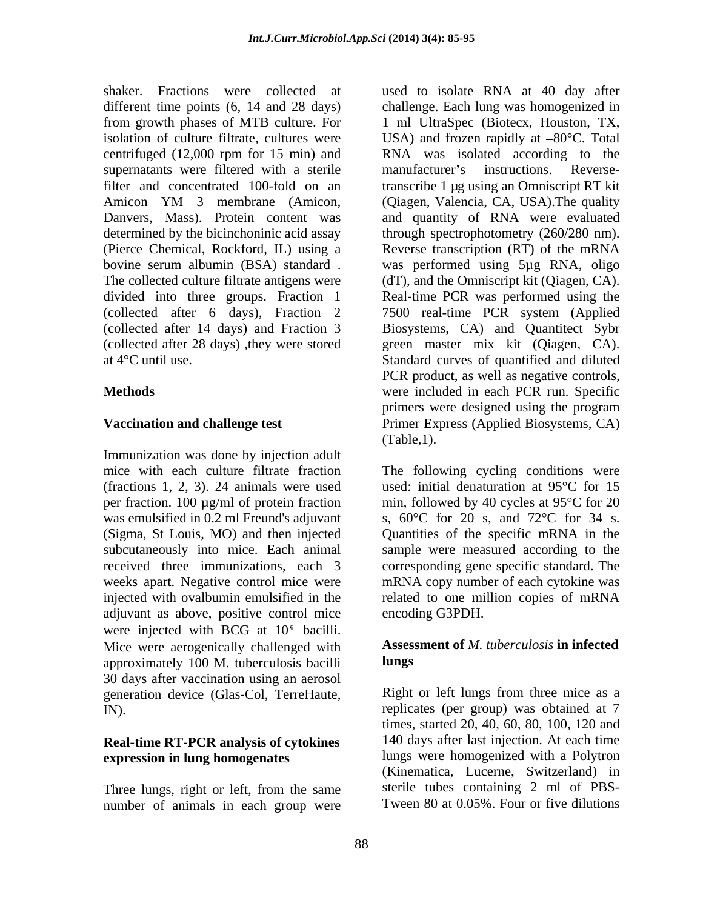supernatants were filtered with a sterile manufacturer's instructions. Reverse-

Immunization was done by injection adult was emulsified in 0.2 ml Freund's adjuvant adjuvant as above, positive control mice were injected with BCG at  $10<sup>6</sup>$  bacilli. Mice were aerogenically challenged with approximately 100 M. tuberculosis bacilli 30 days after vaccination using an aerosol generation device (Glas-Col, TerreHaute,

## **Real-time RT-PCR analysis of cytokines**

Three lungs, right or left, from the same number of animals in each group were

shaker. Fractions were collected at used to isolate RNA at 40 day after different time points (6, 14 and 28 days) challenge. Each lung was homogenized in from growth phases of MTB culture. For 1 ml UltraSpec (Biotecx, Houston, TX, isolation of culture filtrate, cultures were  $USA)$  and frozen rapidly at  $-80^{\circ}$ C. Total centrifuged (12,000 rpm for 15 min) and RNA was isolated according to the filter and concentrated 100-fold on an transcribe 1 µg using an Omniscript RT kit Amicon YM 3 membrane (Amicon, (Qiagen, Valencia, CA, USA). The quality Danvers, Mass). Protein content was and quantity of RNA were evaluated determined by the bicinchoninic acid assay through spectrophotometry (260/280 nm). (Pierce Chemical, Rockford, IL) using a Reverse transcription (RT) of the mRNA bovine serum albumin (BSA) standard . was performed using 5µg RNA, oligo The collected culture filtrate antigens were (dT), and the Omniscript kit (Qiagen, CA). divided into three groups. Fraction 1 Real-time PCR was performed using the (collected after 6 days), Fraction 2 7500 real-time PCR system (Applied (collected after 14 days) and Fraction 3 Biosystems, CA) and Quantitect Sybr (collected after 28 days) ,they were stored green master mix kit (Qiagen, CA). at 4°C until use. Standard curves of quantified and diluted **Methods** were included in each PCR run. Specific **Vaccination and challenge test**  Primer Express (Applied Biosystems, CA) manufacturer's instructions. Reverse-(Qiagen, Valencia, CA, USA).The quality PCR product, as well as negative controls, primers were designed using the program (Table,1).

mice with each culture filtrate fraction The following cycling conditions were (fractions 1, 2, 3). 24 animals were used used: initial denaturation at 95°C for 15 per fraction. 100 µg/ml of protein fraction min, followed by 40 cycles at 95°C for 20 (Sigma, St Louis, MO) and then injected Quantities of the specific mRNA in the subcutaneously into mice. Each animal sample were measured according to the received three immunizations, each 3 corresponding gene specific standard. The weeks apart. Negative control mice were mRNA copy number of each cytokine was injected with ovalbumin emulsified in the related to one million copies of mRNA s, 60°C for 20 s, and 72°C for 34 s. encoding G3PDH.

### **Assessment of** *M. tuberculosis* **in infected lungs**

IN). replicates (per group) was obtained at 7 **expression in lung homogenates** lungs were homogenized with a Polytron Right or left lungs from three mice as a times, started 20, 40, 60, 80, 100, 120 and 140 days after last injection. At each time (Kinematica, Lucerne, Switzerland) in sterile tubes containing 2 ml of PBS- Tween 80 at 0.05%. Four or five dilutions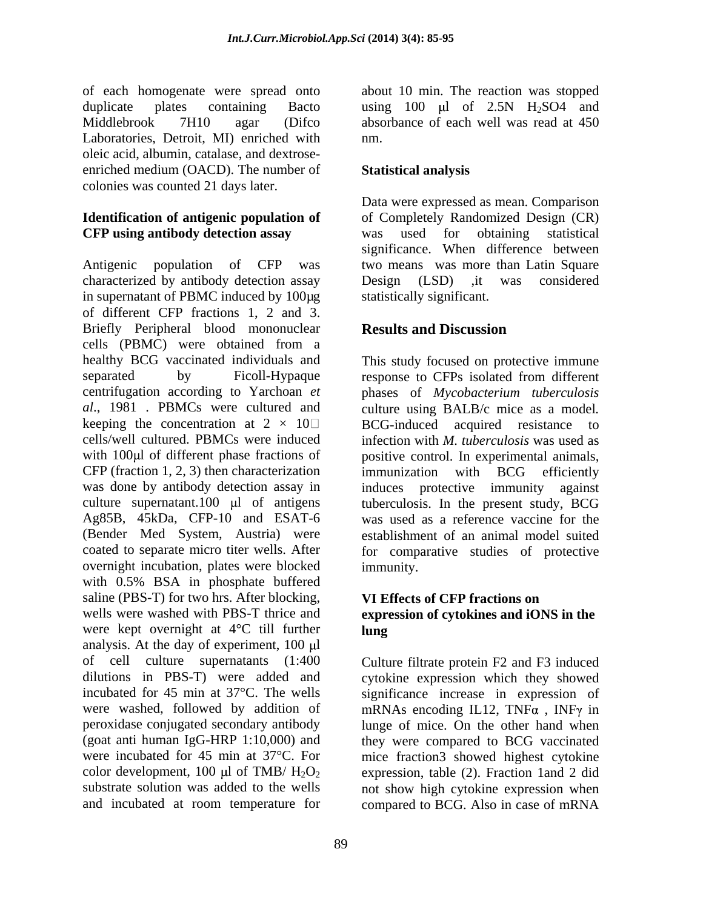Laboratories, Detroit, MI) enriched with nm. oleic acid, albumin, catalase, and dextrose enriched medium (OACD). The number of Statistical analysis colonies was counted 21 days later.

# **CFP using antibody detection assay**

Antigenic population of CFP was two means was more than Latin Square characterized by antibody detection assay Design (LSD) , it was considered in supernatant of PBMC induced by 100µg of different CFP fractions 1, 2 and 3. Briefly Peripheral blood mononuclear **Results and Discussion** cells (PBMC) were obtained from a healthy BCG vaccinated individuals and This study focused on protective immune separated by Ficoll-Hypaque response to CFPs isolated from different centrifugation according to Yarchoan *et al*., 1981 . PBMCs were cultured and culture using BALB/c mice as a model*.* keeping the concentration at  $2 \times 10$  BCG-induced acquired resistance to cells/well cultured. PBMCs were induced infection with *M. tuberculosis* was used as with 100µl of different phase fractions of positive control. In experimental animals, CFP (fraction 1, 2, 3) then characterization immunization with BCG efficiently was done by antibody detection assay in induces protective immunity against culture supernatant.100  $\mu$ l of antigens tuberculosis. In the present study, BCG Ag85B, 45kDa, CFP-10 and ESAT-6 was used as a reference vaccine for the (Bender Med System, Austria) were coated to separate micro titer wells. After for comparative studies of protective overnight incubation, plates were blocked with 0.5% BSA in phosphate buffered saline (PBS-T) for two hrs. After blocking, wells were washed with PBS-T thrice and **expression of cytokines and iONS in the**  were kept overnight at 4°C till further **lung** analysis. At the day of experiment,  $100 \mu l$ of cell culture supernatants (1:400 Culture filtrate protein F2 and F3 induced dilutions in PBS-T) were added and cytokine expression which they showed incubated for 45 min at 37°C. The wells significance increase in expression of were washed, followed by addition of mRNAs encoding IL12, TNF $\alpha$ , INF $\gamma$  in peroxidase conjugated secondary antibody lunge of mice. On the other hand when (goat anti human IgG-HRP 1:10,000) and they were compared to BCG vaccinated were incubated for 45 min at 37°C. For mice fraction3 showed highest cytokine color development, 100  $\mu$ l of TMB/H<sub>2</sub>O<sub>2</sub> expression, table (2). Fraction 1and 2 did substrate solution was added to the wells not show high cytokine expression when

of each homogenate were spread onto about 10 min. The reaction was stopped duplicate plates containing Bacto using  $100 \mu l$  of  $2.5N$  H<sub>2</sub>SO4 and Middlebrook 7H10 agar (Difco absorbance of each well was read at 450 nm.

## **Statistical analysis**

**Identification of antigenic population of** of Completely Randomized Design (CR) Data were expressed as mean. Comparison was used for obtaining statistical significance. When difference between Design (LSD) ,it was considered statistically significant.

## **Results and Discussion**

phases of *Mycobacterium tuberculosis* BCG-induced acquired resistance immunization with BCG efficiently induces protective immunity establishment of an animal model suited immunity.

## **VI Effects of CFP fractions on lung**

and incubated at room temperature for compared to BCG. Also in case of mRNA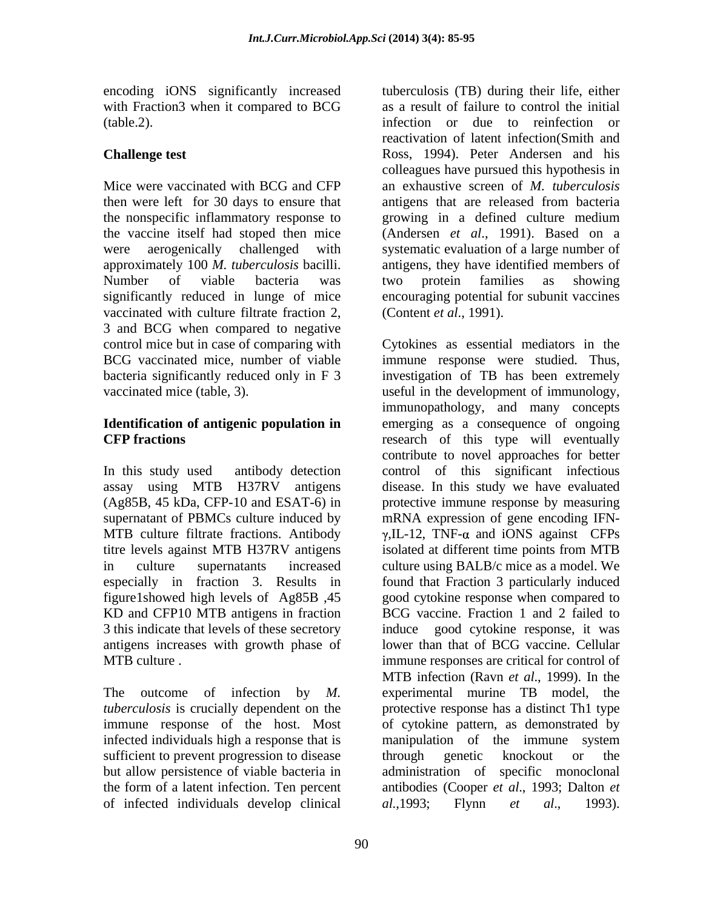with Fraction3 when it compared to BCG

then were left for 30 days to ensure that antigens that are released from bacteria the nonspecific inflammatory response to vaccinated with culture filtrate fraction 2, 3 and BCG when compared to negative vaccinated mice (table, 3). was useful in the development of immunology,

supernatant of PBMCs culture induced by titre levels against MTB H37RV antigens figure1showed high levels of Ag85B ,45 KD and CFP10 MTB antigens in fraction 3 this indicate that levels of these secretory antigens increases with growth phase of

infected individuals high a response that is manipulation of the immune system sufficient to prevent progression to disease through genetic knockout or the of infected individuals develop clinical al., 1993; Flynn et al., 1993).

encoding iONS significantly increased tuberculosis (TB) during their life, either (table.2). infection or due to reinfection or **Challenge test** Ross, 1994). Peter Andersen and his Mice were vaccinated with BCG and CFP an exhaustive screen of *M. tuberculosis* the vaccine itself had stoped then mice (Andersen *et al*., 1991). Based on a were aerogenically challenged with systematic evaluation of a large number of approximately 100 *M. tuberculosis* bacilli. antigens, they have identified members of Number of viable bacteria was two protein families as showing significantly reduced in lunge of mice encouraging potential for subunit vaccines as a result of failure to control the initial reactivation of latent infection(Smith and colleagues have pursued this hypothesis in antigens that are released from bacteria growing in a defined culture medium two protein families as showing (Content *et al*., 1991).

control mice but in case of comparing with Cytokines as essential mediators in the BCG vaccinated mice, number of viable immune response were studied. Thus, bacteria significantly reduced only in F 3 investigation of TB has been extremely **Identification of antigenic population in** emerging as a consequence of ongoing **CFP fractions** research of this type will eventually In this study used antibody detection control of this significant infectious assay using MTB H37RV antigens disease. In this study we have evaluated (Ag85B, 45 kDa, CFP-10 and ESAT-6) in protective immune response by measuring MTB culture filtrate fractions. Antibody  $\gamma$ , IL-12, TNF- $\alpha$  and iONS against CFPs in culture supernatants increased culture using BALB/c mice as a model. We especially in fraction 3. Results in found that Fraction 3 particularly induced MTB culture . The subset of the immune responses are critical for control of The outcome of infection by *M.*  experimental murine TB model, the *tuberculosis* is crucially dependent on the protective response has a distinct Th1 type immune response of the host. Most of cytokine pattern, as demonstrated by but allow persistence of viable bacteria in administration of specific monoclonal the form of a latent infection. Ten percent antibodies (Cooper *et al*., 1993; Dalton *et*  useful in the development of immunology, immunopathology, and many concepts contribute to novel approaches for better mRNA expression of gene encoding IFN isolated at different time points from MTB good cytokine response when compared to BCG vaccine. Fraction 1 and 2 failed to good cytokine response, it was lower than that of BCG vaccine. Cellular MTB infection (Ravn *et al*., 1999). In the manipulation of the immune system through genetic knockout or the *al.*,1993; Flynn *et al*., 1993).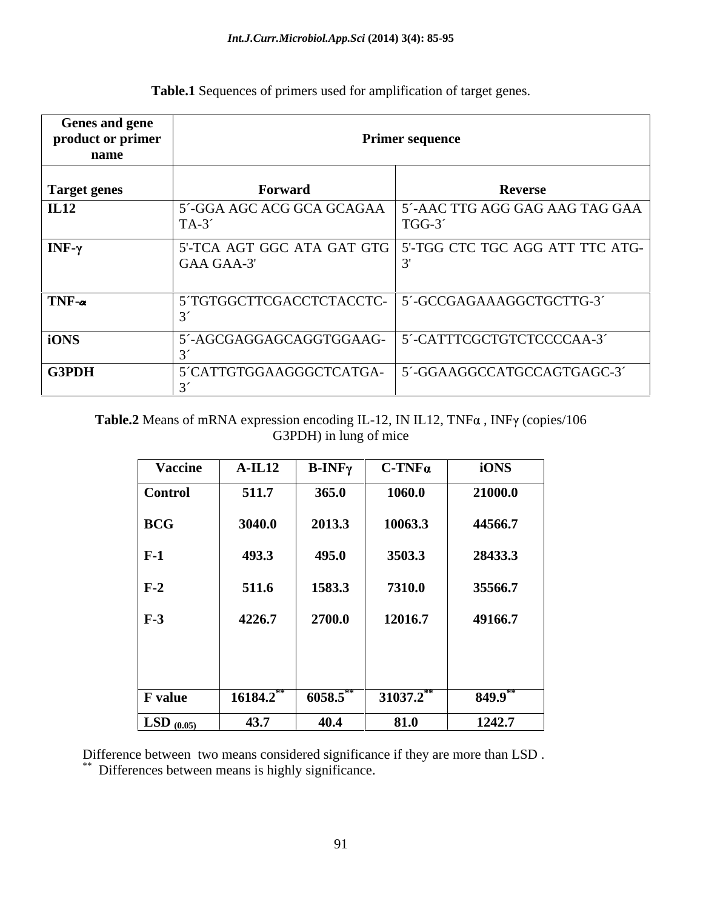| <b>Genes and gene</b><br>product or primer<br>name |                          | <b>Primer sequence</b>                                              |
|----------------------------------------------------|--------------------------|---------------------------------------------------------------------|
| Target genes                                       | <b>Forward</b>           | <b>Reverse</b>                                                      |
| IL12                                               | $TA-3'$                  | 5´-GGA AGC ACG GCA GCAGAA   5´-AAC TTG AGG GAG AAG TAG GAA<br>TGG-3 |
| $NF-\gamma$                                        | GAA GAA-3'               | 5'-TCA AGT GGC ATA GAT GTG 5'-TGG CTC TGC AGG ATT TTC ATG-          |
| $TNF_{\alpha}$                                     | 5 TGTGGCTTCGACCTCTACCTC- | 5'-GCCGAGAAAGGCTGCTTG-3'                                            |
| iONS                                               | 5´-AGCGAGGAGCAGGTGGAAG-  | 5´-CATTTCGCTGTCTCCCCAA-3´                                           |
| G3PDH                                              | 5 CATTGTGGAAGGGCTCATGA-  | 5'-GGAAGGCCATGCCAGTGAGC-3'                                          |

**Table.1** Sequences of primers used for amplification of target genes.

## **Table.2** Means of mRNA expression encoding IL-12, IN IL12, TNF $\alpha$ , INF $\gamma$  (copies/106 G3PDH) in lung of mice

| <b>Vaccine</b>                   | $A-IL12$  | $\mathbf{B}\text{-}\mathbf{INF}\gamma$ | $C$ -TNF $\alpha$ | iONS       |
|----------------------------------|-----------|----------------------------------------|-------------------|------------|
| <b>Control</b>                   | 511.7     | 365.0                                  | 1060.0            | 21000.0    |
| <b>BCG</b>                       | 3040.0    | 2013.3                                 | 10063.3           | 44566.7    |
| $\vert$ F-1                      | 493.3     | 495.0                                  | 3503.3            | 28433.3    |
| $F-2$                            | 511.6     | 1583.3                                 | 7310.0            | 35566.7    |
| $F-3$                            | 4226.7    | 2700.0                                 | 12016.7           | 49166.7    |
|                                  |           |                                        |                   |            |
|                                  |           |                                        |                   |            |
| <b>F</b> value                   | 16184.2** | $6058.5$ **                            | $31037.2$ **      | $849.9$ ** |
| $\overline{\text{LSD}_{(0.05)}}$ | 43.7      | 40.4                                   | 81.0              | 1242.7     |

Difference between two means considered significance if they are more than LSD . \*\* Differences between means is highly significance.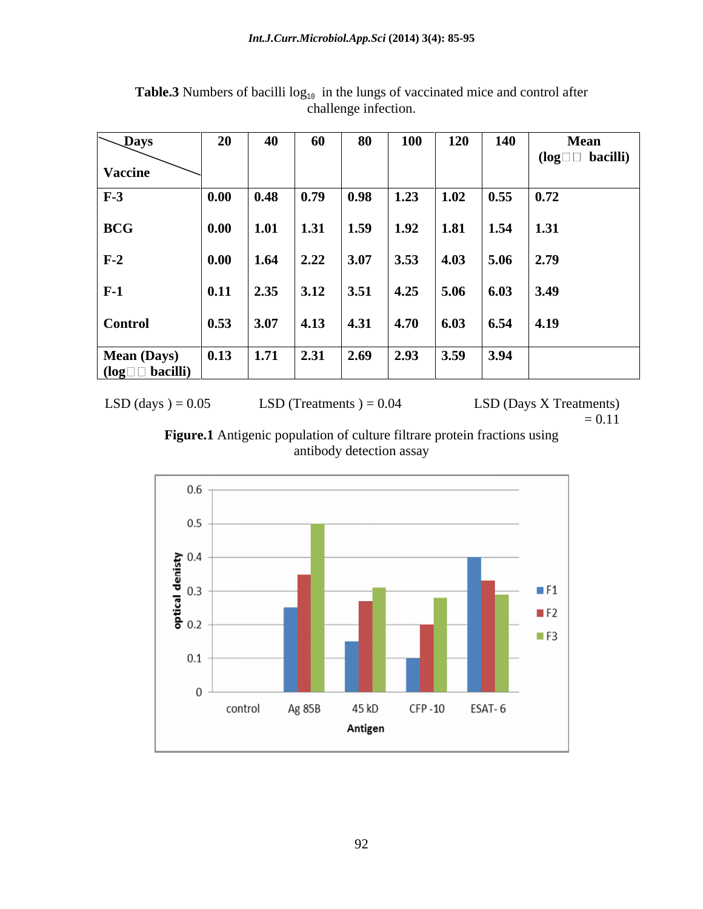| $\sqrt{p}$ ays                           | 20             | 40                 | 60   | 80   | <b>100</b>     | <b>120</b> | <b>140</b>   | <b>Mean</b>               |
|------------------------------------------|----------------|--------------------|------|------|----------------|------------|--------------|---------------------------|
| <b>Vaccine</b>                           |                |                    |      |      |                |            |              | $(log \Box \Box$ bacilli) |
| $F-3$                                    | $\boxed{0.00}$ | 0.48               | 0.79 | 0.98 | 1.23           | 1.02       | $\vert$ 0.55 | $\vert$ 0.72              |
| <b>BCG</b>                               | $\vert$ 0.00   | 1.01               | 1.31 | 1.59 | 1.92           | 1.81       | 1.54         | 1.31                      |
| $F-2$                                    | 0.00           | 1.64               | 2.22 | 3.07 | 3.53           | 4.03       | 5.06         | 2.79                      |
| $F-1$                                    | $\vert$ 0.11   | $\vert 2.35 \vert$ | 3.12 | 3.51 | 4.25           | 5.06       | 6.03         | 3.49                      |
| <b>Control</b>                           | $\vert$ 0.53   | 3.07               | 4.13 | 4.31 | $ 4.70\rangle$ | 6.03       | 6.54         | 4.19                      |
| Mean (Days)<br>$(log \Box \Box$ bacilli) | $\vert$ 0.13   | 1.71               | 2.31 | 2.69 | 2.93           | 3.59       | 3.94         |                           |

**Table.3** Numbers of bacilli  $log_{10}$  in the lungs of vaccinated mice and control after challenge infection.

LSD (days ) =  $0.05$  LSD (Treatments ) =  $0.04$  LSD (Days X Treatments) =  $0.11$  $= 0.11$ 



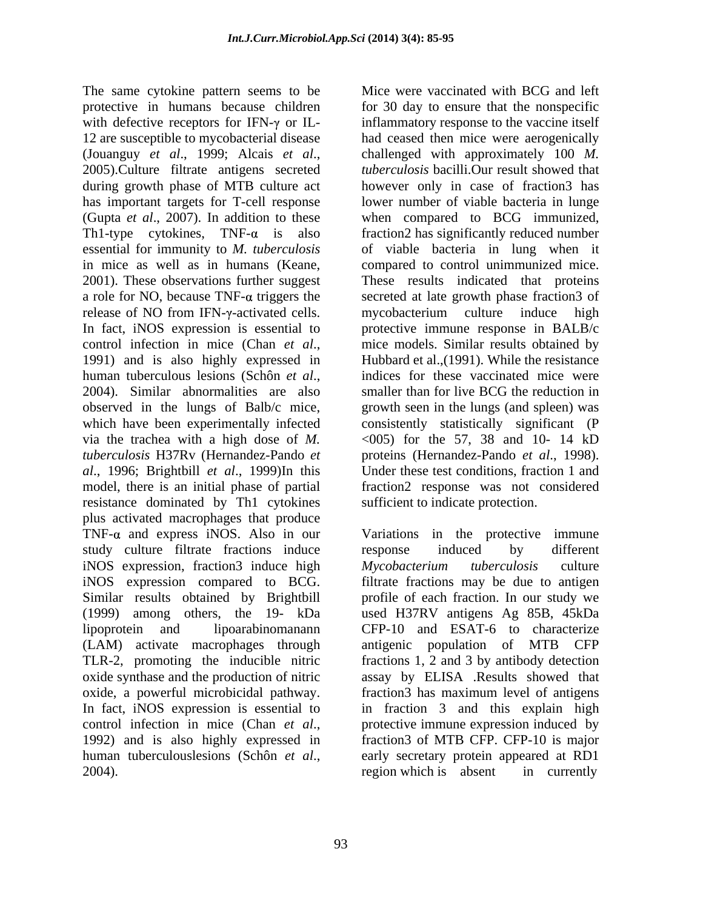The same cytokine pattern seems to be protective in humans because children for 30 day to ensure that the nonspecific with defective receptors for IFN- $\gamma$  or IL-12 are susceptible to mycobacterial disease had ceased then mice were aerogenically (Jouanguy *et al*., 1999; Alcais *et al*., 2005).Culture filtrate antigens secreted during growth phase of MTB culture act however only in case of fraction3 has has important targets for T-cell response lower number of viable bacteria in lunge (Gupta *et al*., 2007).In addition to these when compared to BCG immunized, Th1-type cytokines,  $TNF-\alpha$  is also fraction2 has significantly reduced number essential for immunity to *M. tuberculosis* of viable bacteria in lung when it in mice as well as in humans (Keane, compared to control unimmunized mice. 2001). These observations further suggest These results indicated that proteins a role for NO, because TNF- $\alpha$  triggers the secreted at late growth phase fraction3 of release of NO from IFN-y-activated cells. In fact, iNOS expression is essential to protective immune response in BALB/c control infection in mice (Chan *et al.*, mice models. Similar results obtained by 1991) and is also highly expressed in Hubbard et al., (1991). While the resistance human tuberculous lesions (Schôn *et al.*, indices for these vaccinated mice were 2004). Similar abnormalities are also smaller than for live BCG the reduction in observed in the lungs of Balb/c mice, growth seen in the lungs (and spleen) was which have been experimentally infected consistently statistically significant (P via the trachea with a high dose of  $M$ .  $\langle 005 \rangle$  for the 57, 38 and 10- 14 kD *tuberculosis* H37Rv (Hernandez-Pando *et*  proteins (Hernandez-Pando *et al*., 1998). *al*., 1996; Brightbill *et al*., 1999)In this Under these test conditions, fraction 1 and model, there is an initial phase of partial resistance dominated by Th1 cytokines plus activated macrophages that produce  $TNF-\alpha$  and express iNOS. Also in our Variations in the protective immune study culture filtrate fractions induce response induced by different iNOS expression, fraction3 induce high Mycobacterium tuberculosis culture iNOS expression compared to BCG. filtrate fractions may be due to antigen Similar results obtained by Brightbill profile of each fraction. In our study we (1999) among others, the 19- kDa used H37RV antigens Ag 85B, 45kDa lipoprotein and lipoarabinomanann CFP-10 and ESAT-6 to characterize (LAM) activate macrophages through antigenic population of MTB CFP TLR-2, promoting the inducible nitric fractions1, 2 and 3 by antibody detection oxide synthase and the production of nitric assay by ELISA .Results showed that oxide, a powerful microbicidal pathway. In fraction3 has maximum level of antigens<br>In fact, iNOS expression is essential to  $\frac{1}{2}$  in fraction 3 and this explain high control infection in mice (Chan *et al.*, protective immune expression induced by 1992) and is also highly expressed in fraction of MTB CFP. CFP-10 is major

Mice were vaccinated with BCG and left inflammatory response to the vaccine itself challenged with approximately 100 *M. tuberculosis* bacilli.Our result showed that mycobacterium culture induce high mice models. Similar results obtained by Hubbard et al.,(1991). While the resistance indices for these vaccinated mice were smaller than for live BCG the reduction in fraction2 response was not considered sufficient to indicate protection.

human tuberculouslesions (Schôn *et al.*, early secretary protein appeared at RD1 region which is absent in currently response induced by different *Mycobacterium tuberculosis* culture fraction3 has maximum level of antigens in fraction 3 and this explain high protective immune expression induced by fraction3 of MTB CFP. CFP-10 is major early secretary protein appeared at RD1 region which is absent in currently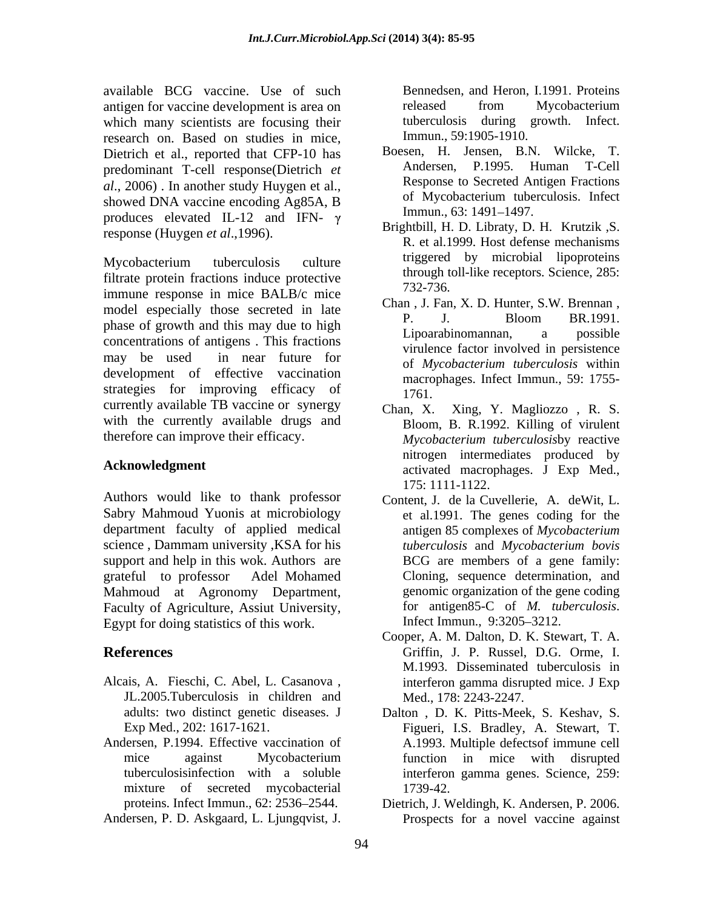available BCG vaccine. Use of such Bennedsen, and Heron, I.1991. Proteins antigen for vaccine development is area on which many scientists are focusing their tuberculosis during growth. Infect. research on. Based on studies in mice, Dietrich et al., reported that CFP-10 has predominant T-cell response(Dietrich *et*  produces elevated IL-12 and IFN-  $\gamma$  Immun., 63: 1491–1497. response (Huygen *et al*.,1996).

Mycobacterium tuberculosis culture triggered by microbial lipoproteins filtrate protein fractions induce protective  $\frac{\text{through the}}{732-736}$ immune response in mice BALB/c mice model especially those secreted in late Chan, J. Pan, X. D. Hunter, S.W. Brennan, phase of growth and this may due to high high the contraction of the contract of the contract of the contract of the contract of the contract of the contract of the contract of the contract of the contract of the contract concentrations of antigens . This fractions may be used in near future for the experience involved in personance development of effective vaccination strategies for improving efficacy of  $\frac{1761}{1761}$ currently available TB vaccine or synergy  $\qquad \qquad \text{Chan. X.}$ with the currently available drugs and available RGC vaccine. Using in the off-scale and Heron, 1.1991. Procedure and Heron, 1.1991. Ninkin may scatted many scatted many scatted many scatted many scatted many scatted many scatted many scatted many scatted many

Authors would like to thank professor Sabry Mahmoud Yuonis at microbiology department faculty of applied medical support and help in this wok. Authors are Mahmoud at Agronomy Department, Faculty of Agriculture, Assiut University, for antigen85-C of *M. tuberculosis.*<br>Fovot for doing statistics of this work **Infect Immun.**, 9:3205–3212. Egypt for doing statistics of this work.

- Alcais, A. Fieschi, C. Abel, L. Casanova , JL.2005.Tuberculosis in children and
- Andersen, P.1994. Effective vaccination of mixture of secreted mycobacterial 1739-42.

released from Mycobacterium tuberculosis during growth. Infect. Immun., 59:1905-1910.

- *al*., 2006). In another study Huygen et al., Response to Secreted Antigen Fractions<br>showed DNA vaccine encoding Ag85A, B of Mycobacterium tuberculosis. Infect Boesen, H. Jensen, B.N. Wilcke, T. Andersen, P.1995. Human T-Cell Response to Secreted Antigen Fractions of Mycobacterium tuberculosis. Infect Immun., 63: 1491–1497.
	- Brightbill, H. D. Libraty, D. H. Krutzik ,S. R. et al.1999. Host defense mechanisms triggered by microbial lipoproteins through toll-like receptors. Science, 285: 732-736.
	- Chan , J. Fan, X. D. Hunter, S.W. Brennan , P. J. Bloom BR.1991. Lipoarabinomannan, a possible virulence factor involved in persistence of *Mycobacterium tuberculosis* within macrophages. Infect Immun., 59: 1755- 1761.
- therefore can improve their efficacy. *Mycobacterium tuberculosis*by reactive Acknowledgment activated macrophages. J Exp Med., Xing, Y. Magliozzo, R. S. Bloom, B. R.1992. Killing of virulent nitrogen intermediates produced by 175: 1111-1122.
- science , Dammam university ,KSA for his *tuberculosis* and *Mycobacterium bovis* grateful to professor Adel Mohamed Cloning, sequence determination, and Content, J. de la Cuvellerie, A. deWit, L. et al.1991. The genes coding for the antigen 85 complexes of *Mycobacterium*  BCG are members of a gene family: genomic organization of the gene coding for antigen85-C of *M. tuberculosis*.<br>Infect Immun., 9:3205–3212.
- **References** Griffin, J. P. Russel, D.G. Orme, I. Cooper, A. M. Dalton, D. K. Stewart, T. A. M.1993. Disseminated tuberculosis in interferon gamma disrupted mice. J Exp Med., 178: 2243-2247.
	- adults: two distinct genetic diseases. J Dalton , D. K. Pitts-Meek, S. Keshav, S. Exp Med., 202: 1617-1621. Figueri, I.S. Bradley, A. Stewart, T. mice against Mycobacterium function in mice with disrupted tuberculosisinfection with a soluble interferon gamma genes. Science, 259: A.1993. Multiple defectsof immune cell function in mice with disrupted 1739-42.
	- proteins. Infect Immun., 62: 2536 2544. Dietrich, J. Weldingh, K. Andersen, P. 2006. Prospects for a novel vaccine against